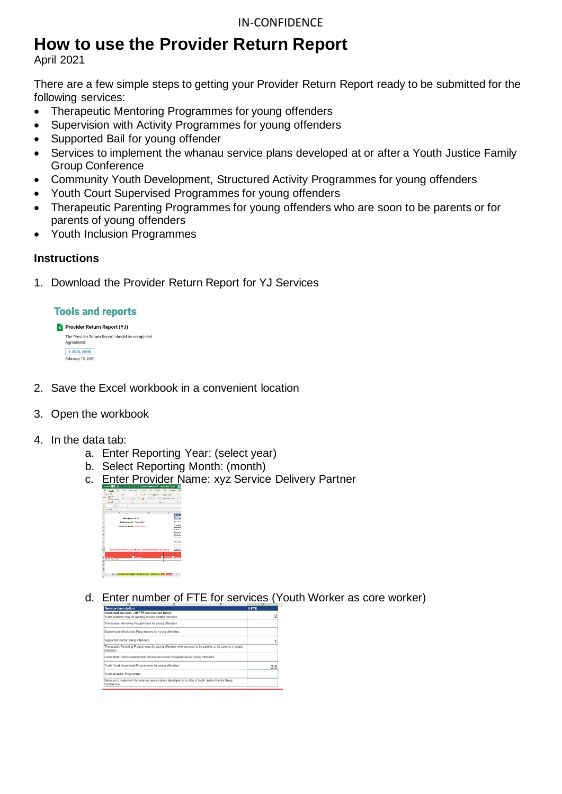# **How to use the Provider Return Report**

April 2021

There are a few simple steps to getting your Provider Return Report ready to be submitted for the following services:

- Therapeutic Mentoring Programmes for young offenders
- Supervision with Activity Programmes for young offenders
- Supported Bail for young offender
- Services to implement the whanau service plans developed at or after a Youth Justice Family Group Conference
- Community Youth Development, Structured Activity Programmes for young offenders
- Youth Court Supervised Programmes for young offenders
- Therapeutic Parenting Programmes for young offenders who are soon to be parents or for parents of young offenders
- Youth Inclusion Programmes

## **Instructions**

1. Download the Provider Return Report for YJ Services

#### **Tools and reports**

|  | Provider Return Report (YJ)                                  |  |  |  |  |  |
|--|--------------------------------------------------------------|--|--|--|--|--|
|  | The Provider Return Report should be completed<br>Agreement. |  |  |  |  |  |
|  | <b>+ EXCEL, 358 KB</b>                                       |  |  |  |  |  |
|  | February 15, 2021                                            |  |  |  |  |  |

- 2. Save the Excel workbook in a convenient location
- 3. Open the workbook
- 4. In the data tab:
	- a. Enter Reporting Year: (select year)
	- b. Select Reporting Month: (month)
	- c. Enter Provider Name: xyz Service Delivery Partner



d. Enter number of FTE for services (Youth Worker as core worker)

| <b>Service description</b>                                                                                           | #FTE |
|----------------------------------------------------------------------------------------------------------------------|------|
| Combined services - All FTE not counted below                                                                        |      |
| Youth Workers may be working across multiple services                                                                | 2    |
| Therapeutic Mentoring Programmes for young offenders                                                                 |      |
| Supervision with Activity Programmes for young offenders                                                             |      |
| Supported Bail for young offenders                                                                                   |      |
| Therapeutic Parenting Programmes for young offenders who are soon to be parents or for parents of young<br>offenders |      |
| Community Youth Development. Structured Activity Programmes for young offenders                                      |      |
| Youth Court Supervised Programmes for young offenders                                                                | 0.5  |
| <b>Youth Inclusion Programme</b>                                                                                     |      |
| Services to implement the whanau service plans developed at or after a Youth Justice Family Group<br>Conference      |      |